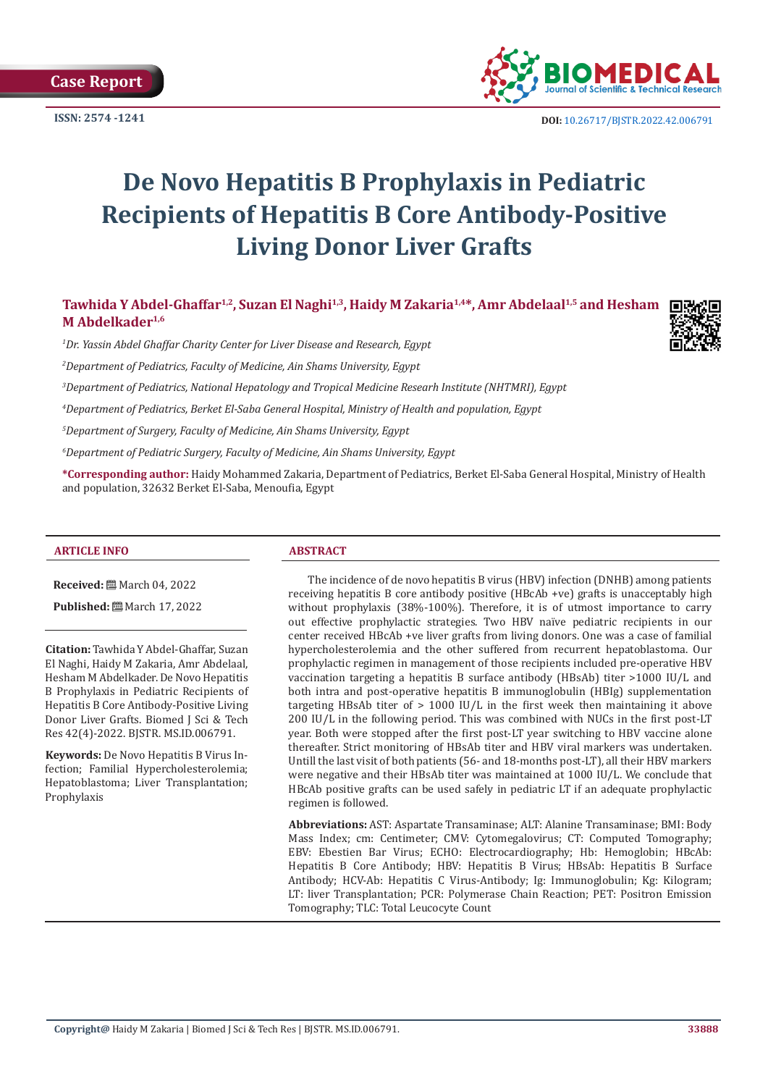**Case Report** 



**ISSN:** 2574 -1241 **DOI:** [10.26717/BJSTR.2022.42.006791](https://dx.doi.org/10.26717/BJSTR.2022.42.006791)

# **De Novo Hepatitis B Prophylaxis in Pediatric Recipients of Hepatitis B Core Antibody-Positive Living Donor Liver Grafts**

# Tawhida Y Abdel-Ghaffar<sup>1,2</sup>, Suzan El Naghi<sup>1,3</sup>, Haidy M Zakaria<sup>1,4\*</sup>, Amr Abdelaal<sup>1,5</sup> and Hesham **M Abdelkader1,6**

*1 Dr. Yassin Abdel Ghaffar Charity Center for Liver Disease and Research, Egypt*

*2 Department of Pediatrics, Faculty of Medicine, Ain Shams University, Egypt*

*3 Department of Pediatrics, National Hepatology and Tropical Medicine Researh Institute (NHTMRI), Egypt*

*4 Department of Pediatrics, Berket El-Saba General Hospital, Ministry of Health and population, Egypt*

*5 Department of Surgery, Faculty of Medicine, Ain Shams University, Egypt*

*6 Department of Pediatric Surgery, Faculty of Medicine, Ain Shams University, Egypt*

**\*Corresponding author:** Haidy Mohammed Zakaria, Department of Pediatrics, Berket El-Saba General Hospital, Ministry of Health and population, 32632 Berket El-Saba, Menoufia, Egypt

#### **ARTICLE INFO ABSTRACT**

**Received:** March 04, 2022

**Published:** 圖 March 17, 2022

**Citation:** Tawhida Y Abdel-Ghaffar, Suzan El Naghi, Haidy M Zakaria, Amr Abdelaal, Hesham M Abdelkader. De Novo Hepatitis B Prophylaxis in Pediatric Recipients of Hepatitis B Core Antibody-Positive Living Donor Liver Grafts. Biomed J Sci & Tech Res 42(4)-2022. BJSTR. MS.ID.006791.

**Keywords:** De Novo Hepatitis B Virus Infection; Familial Hypercholesterolemia; Hepatoblastoma; Liver Transplantation; Prophylaxis

The incidence of de novo hepatitis B virus (HBV) infection (DNHB) among patients receiving hepatitis B core antibody positive (HBcAb +ve) grafts is unacceptably high without prophylaxis (38%-100%). Therefore, it is of utmost importance to carry out effective prophylactic strategies. Two HBV naïve pediatric recipients in our center received HBcAb +ve liver grafts from living donors. One was a case of familial hypercholesterolemia and the other suffered from recurrent hepatoblastoma. Our prophylactic regimen in management of those recipients included pre-operative HBV vaccination targeting a hepatitis B surface antibody (HBsAb) titer >1000 IU/L and both intra and post-operative hepatitis B immunoglobulin (HBIg) supplementation targeting HBsAb titer of  $> 1000$  IU/L in the first week then maintaining it above 200 IU/L in the following period. This was combined with NUCs in the first post-LT year. Both were stopped after the first post-LT year switching to HBV vaccine alone thereafter. Strict monitoring of HBsAb titer and HBV viral markers was undertaken. Untill the last visit of both patients (56- and 18-months post-LT), all their HBV markers were negative and their HBsAb titer was maintained at 1000 IU/L. We conclude that HBcAb positive grafts can be used safely in pediatric LT if an adequate prophylactic regimen is followed.

**Abbreviations:** AST: Aspartate Transaminase; ALT: Alanine Transaminase; BMI: Body Mass Index; cm: Centimeter; CMV: Cytomegalovirus; CT: Computed Tomography; EBV: Ebestien Bar Virus; ECHO: Electrocardiography; Hb: Hemoglobin; HBcAb: Hepatitis B Core Antibody; HBV: Hepatitis B Virus; HBsAb: Hepatitis B Surface Antibody; HCV-Ab: Hepatitis C Virus-Antibody; Ig: Immunoglobulin; Kg: Kilogram; LT: liver Transplantation; PCR: Polymerase Chain Reaction; PET: Positron Emission Tomography; TLC: Total Leucocyte Count

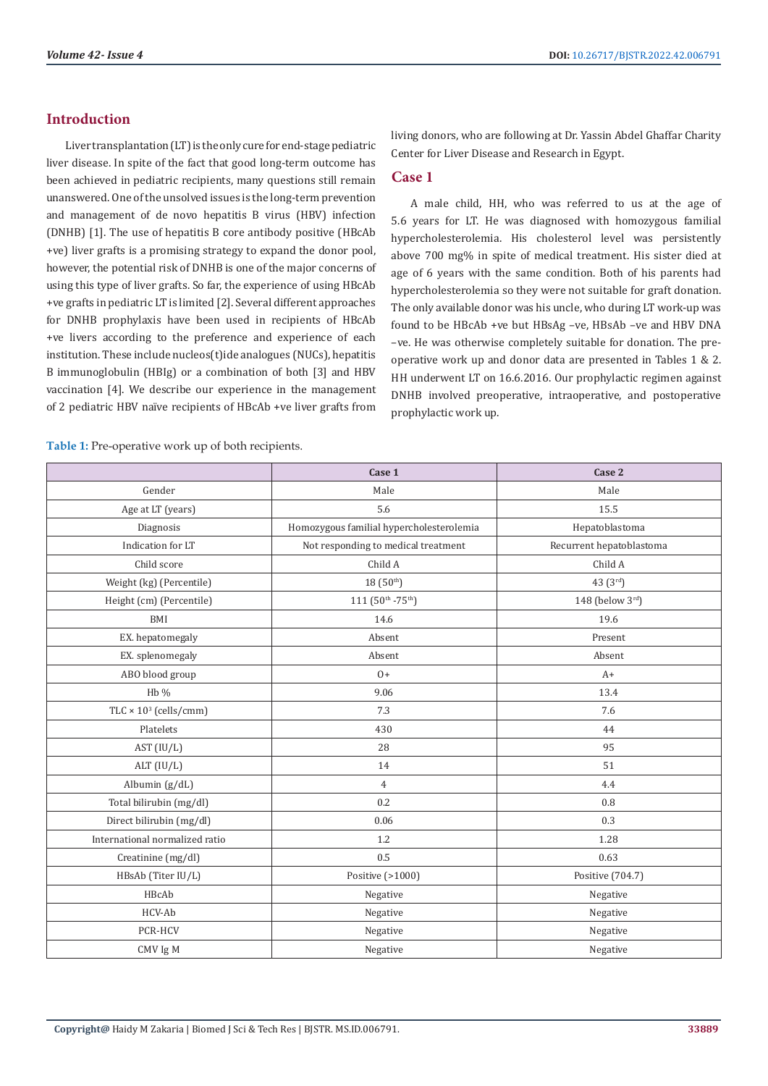# **Introduction**

Liver transplantation (LT) is the only cure for end-stage pediatric liver disease. In spite of the fact that good long-term outcome has been achieved in pediatric recipients, many questions still remain unanswered. One of the unsolved issues is the long-term prevention and management of de novo hepatitis B virus (HBV) infection (DNHB) [1]. The use of hepatitis B core antibody positive (HBcAb +ve) liver grafts is a promising strategy to expand the donor pool, however, the potential risk of DNHB is one of the major concerns of using this type of liver grafts. So far, the experience of using HBcAb +ve grafts in pediatric LT is limited [2]. Several different approaches for DNHB prophylaxis have been used in recipients of HBcAb +ve livers according to the preference and experience of each institution. These include nucleos(t)ide analogues (NUCs), hepatitis B immunoglobulin (HBIg) or a combination of both [3] and HBV vaccination [4]. We describe our experience in the management of 2 pediatric HBV naïve recipients of HBcAb +ve liver grafts from

living donors, who are following at Dr. Yassin Abdel Ghaffar Charity Center for Liver Disease and Research in Egypt.

### **Case 1**

A male child, HH, who was referred to us at the age of 5.6 years for LT. He was diagnosed with homozygous familial hypercholesterolemia. His cholesterol level was persistently above 700 mg% in spite of medical treatment. His sister died at age of 6 years with the same condition. Both of his parents had hypercholesterolemia so they were not suitable for graft donation. The only available donor was his uncle, who during LT work-up was found to be HBcAb +ve but HBsAg –ve, HBsAb –ve and HBV DNA –ve. He was otherwise completely suitable for donation. The preoperative work up and donor data are presented in Tables 1 & 2. HH underwent LT on 16.6.2016. Our prophylactic regimen against DNHB involved preoperative, intraoperative, and postoperative prophylactic work up.

**Table 1:** Pre-operative work up of both recipients.

|                                          | Case 1                                   | Case 2                   |
|------------------------------------------|------------------------------------------|--------------------------|
| Gender                                   | Male                                     | Male                     |
| Age at LT (years)                        | 5.6                                      | 15.5                     |
| Diagnosis                                | Homozygous familial hypercholesterolemia | Hepatoblastoma           |
| Indication for LT                        | Not responding to medical treatment      | Recurrent hepatoblastoma |
| Child score                              | Child A                                  | Child A                  |
| Weight (kg) (Percentile)                 | 18 (50th)                                | 43 (3rd)                 |
| Height (cm) (Percentile)                 | 111 (50th - 75th)                        | 148 (below 3rd)          |
| BMI                                      | 14.6                                     | 19.6                     |
| EX. hepatomegaly                         | Absent                                   | Present                  |
| EX. splenomegaly                         | Absent                                   | Absent                   |
| ABO blood group                          | $0+$                                     | $A+$                     |
| $Hb\%$                                   | 9.06                                     | 13.4                     |
| TLC $\times$ 10 <sup>3</sup> (cells/cmm) | 7.3                                      | 7.6                      |
| Platelets                                | 430                                      | 44                       |
| AST (IU/L)                               | 28                                       | 95                       |
| ALT $(IU/L)$                             | 14                                       | 51                       |
| Albumin (g/dL)                           | $\overline{4}$                           | 4.4                      |
| Total bilirubin (mg/dl)                  | 0.2                                      | 0.8                      |
| Direct bilirubin (mg/dl)                 | 0.06                                     | 0.3                      |
| International normalized ratio           | 1.2                                      | 1.28                     |
| Creatinine (mg/dl)                       | 0.5                                      | 0.63                     |
| HBsAb (Titer IU/L)                       | Positive (>1000)                         | Positive (704.7)         |
| HBcAb                                    | Negative                                 | Negative                 |
| HCV-Ab                                   | Negative                                 | Negative                 |
| PCR-HCV                                  | Negative                                 | Negative                 |
| CMV Ig M                                 | Negative                                 | Negative                 |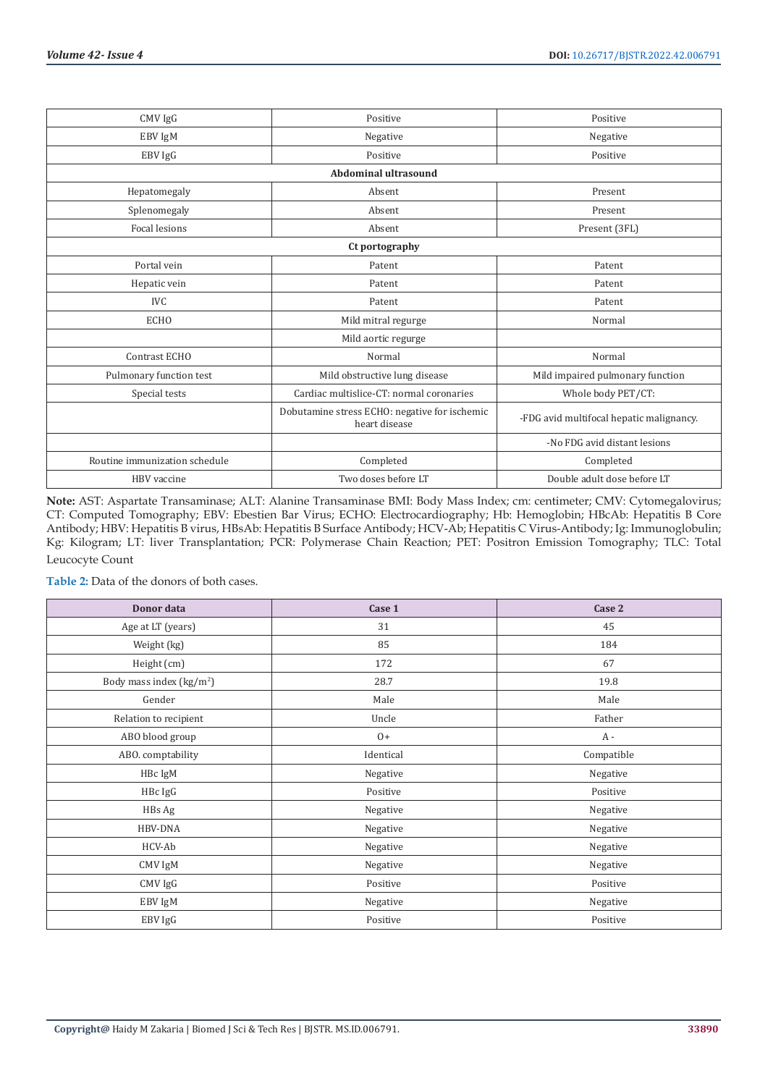| CMV IgG                       | Positive                                                       | Positive                                 |  |
|-------------------------------|----------------------------------------------------------------|------------------------------------------|--|
| EBV IgM                       | Negative                                                       | Negative                                 |  |
| EBV IgG                       | Positive                                                       | Positive                                 |  |
| <b>Abdominal ultrasound</b>   |                                                                |                                          |  |
| Hepatomegaly                  | Absent                                                         | Present                                  |  |
| Splenomegaly                  | Absent                                                         | Present                                  |  |
| <b>Focal lesions</b>          | Absent                                                         | Present (3FL)                            |  |
| Ct portography                |                                                                |                                          |  |
| Portal vein                   | Patent                                                         | Patent                                   |  |
| Hepatic vein                  | Patent                                                         | Patent                                   |  |
| <b>IVC</b>                    | Patent                                                         | Patent                                   |  |
| <b>ECHO</b>                   | Mild mitral regurge                                            | Normal                                   |  |
|                               | Mild aortic regurge                                            |                                          |  |
| Contrast ECHO                 | Normal                                                         | Normal                                   |  |
| Pulmonary function test       | Mild obstructive lung disease                                  | Mild impaired pulmonary function         |  |
| Special tests                 | Cardiac multislice-CT: normal coronaries                       | Whole body PET/CT:                       |  |
|                               | Dobutamine stress ECHO: negative for ischemic<br>heart disease | -FDG avid multifocal hepatic malignancy. |  |
|                               |                                                                | -No FDG avid distant lesions             |  |
| Routine immunization schedule | Completed                                                      | Completed                                |  |
| HBV vaccine                   | Two doses before LT                                            | Double adult dose before LT              |  |

**Note:** AST: Aspartate Transaminase; ALT: Alanine Transaminase BMI: Body Mass Index; cm: centimeter; CMV: Cytomegalovirus; CT: Computed Tomography; EBV: Ebestien Bar Virus; ECHO: Electrocardiography; Hb: Hemoglobin; HBcAb: Hepatitis B Core Antibody; HBV: Hepatitis B virus, HBsAb: Hepatitis B Surface Antibody; HCV-Ab; Hepatitis C Virus-Antibody; Ig: Immunoglobulin; Kg: Kilogram; LT: liver Transplantation; PCR: Polymerase Chain Reaction; PET: Positron Emission Tomography; TLC: Total Leucocyte Count

**Table 2:** Data of the donors of both cases.

| Donor data                | Case 1    | Case 2     |
|---------------------------|-----------|------------|
| Age at LT (years)         | 31        | 45         |
| Weight (kg)               | 85        | 184        |
| Height (cm)               | 172       | 67         |
| Body mass index $(kg/m2)$ | 28.7      | 19.8       |
| Gender                    | Male      | Male       |
| Relation to recipient     | Uncle     | Father     |
| ABO blood group           | $0+$      | A -        |
| ABO. comptability         | Identical | Compatible |
| HBc IgM                   | Negative  | Negative   |
| HBc IgG                   | Positive  | Positive   |
| HBs Ag                    | Negative  | Negative   |
| HBV-DNA                   | Negative  | Negative   |
| HCV-Ab                    | Negative  | Negative   |
| CMV IgM                   | Negative  | Negative   |
| CMV IgG                   | Positive  | Positive   |
| EBV IgM                   | Negative  | Negative   |
| EBV IgG                   | Positive  | Positive   |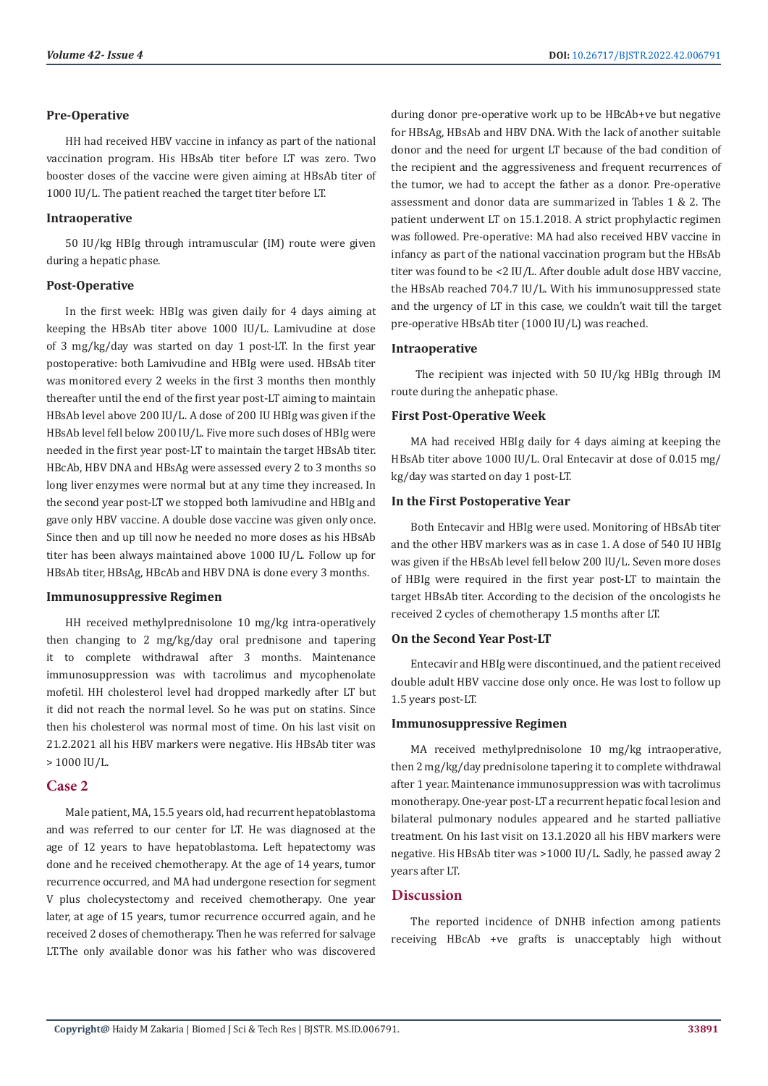#### **Pre-Operative**

HH had received HBV vaccine in infancy as part of the national vaccination program. His HBsAb titer before LT was zero. Two booster doses of the vaccine were given aiming at HBsAb titer of 1000 IU/L. The patient reached the target titer before LT.

#### **Intraoperative**

50 IU/kg HBIg through intramuscular (IM) route were given during a hepatic phase.

#### **Post-Operative**

In the first week: HBIg was given daily for 4 days aiming at keeping the HBsAb titer above 1000 IU/L. Lamivudine at dose of 3 mg/kg/day was started on day 1 post-LT. In the first year postoperative: both Lamivudine and HBIg were used. HBsAb titer was monitored every 2 weeks in the first 3 months then monthly thereafter until the end of the first year post-LT aiming to maintain HBsAb level above 200 IU/L. A dose of 200 IU HBIg was given if the HBsAb level fell below 200 IU/L. Five more such doses of HBIg were needed in the first year post-LT to maintain the target HBsAb titer. HBcAb, HBV DNA and HBsAg were assessed every 2 to 3 months so long liver enzymes were normal but at any time they increased. In the second year post-LT we stopped both lamivudine and HBIg and gave only HBV vaccine. A double dose vaccine was given only once. Since then and up till now he needed no more doses as his HBsAb titer has been always maintained above 1000 IU/L. Follow up for HBsAb titer, HBsAg, HBcAb and HBV DNA is done every 3 months.

#### **Immunosuppressive Regimen**

HH received methylprednisolone 10 mg/kg intra-operatively then changing to 2 mg/kg/day oral prednisone and tapering it to complete withdrawal after 3 months. Maintenance immunosuppression was with tacrolimus and mycophenolate mofetil. HH cholesterol level had dropped markedly after LT but it did not reach the normal level. So he was put on statins. Since then his cholesterol was normal most of time. On his last visit on 21.2.2021 all his HBV markers were negative. His HBsAb titer was > 1000 IU/L.

#### **Case 2**

Male patient, MA, 15.5 years old, had recurrent hepatoblastoma and was referred to our center for LT. He was diagnosed at the age of 12 years to have hepatoblastoma. Left hepatectomy was done and he received chemotherapy. At the age of 14 years, tumor recurrence occurred, and MA had undergone resection for segment V plus cholecystectomy and received chemotherapy. One year later, at age of 15 years, tumor recurrence occurred again, and he received 2 doses of chemotherapy. Then he was referred for salvage LT.The only available donor was his father who was discovered

during donor pre-operative work up to be HBcAb+ve but negative for HBsAg, HBsAb and HBV DNA. With the lack of another suitable donor and the need for urgent LT because of the bad condition of the recipient and the aggressiveness and frequent recurrences of the tumor, we had to accept the father as a donor. Pre-operative assessment and donor data are summarized in Tables 1 & 2. The patient underwent LT on 15.1.2018. A strict prophylactic regimen was followed. Pre-operative: MA had also received HBV vaccine in infancy as part of the national vaccination program but the HBsAb titer was found to be <2 IU/L. After double adult dose HBV vaccine, the HBsAb reached 704.7 IU/L. With his immunosuppressed state and the urgency of LT in this case, we couldn't wait till the target pre-operative HBsAb titer (1000 IU/L) was reached.

#### **Intraoperative**

 The recipient was injected with 50 IU/kg HBIg through IM route during the anhepatic phase.

#### **First Post-Operative Week**

MA had received HBIg daily for 4 days aiming at keeping the HBsAb titer above 1000 IU/L. Oral Entecavir at dose of 0.015 mg/ kg/day was started on day 1 post-LT.

#### **In the First Postoperative Year**

Both Entecavir and HBIg were used. Monitoring of HBsAb titer and the other HBV markers was as in case 1. A dose of 540 IU HBIg was given if the HBsAb level fell below 200 IU/L. Seven more doses of HBIg were required in the first year post-LT to maintain the target HBsAb titer. According to the decision of the oncologists he received 2 cycles of chemotherapy 1.5 months after LT.

#### **On the Second Year Post-LT**

Entecavir and HBIg were discontinued, and the patient received double adult HBV vaccine dose only once. He was lost to follow up 1.5 years post-LT.

#### **Immunosuppressive Regimen**

MA received methylprednisolone 10 mg/kg intraoperative, then 2 mg/kg/day prednisolone tapering it to complete withdrawal after 1 year. Maintenance immunosuppression was with tacrolimus monotherapy. One-year post-LT a recurrent hepatic focal lesion and bilateral pulmonary nodules appeared and he started palliative treatment. On his last visit on 13.1.2020 all his HBV markers were negative. His HBsAb titer was >1000 IU/L. Sadly, he passed away 2 years after LT.

# **Discussion**

The reported incidence of DNHB infection among patients receiving HBcAb +ve grafts is unacceptably high without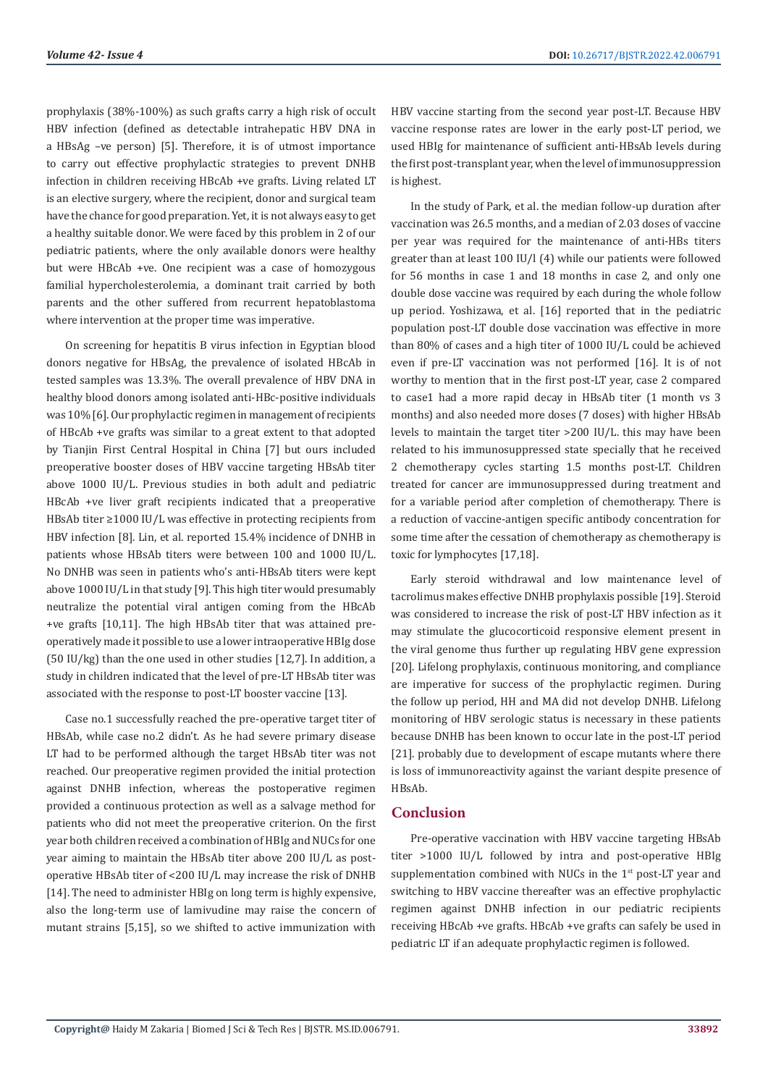prophylaxis (38%-100%) as such grafts carry a high risk of occult HBV infection (defined as detectable intrahepatic HBV DNA in a HBsAg –ve person) [5]. Therefore, it is of utmost importance to carry out effective prophylactic strategies to prevent DNHB infection in children receiving HBcAb +ve grafts. Living related LT is an elective surgery, where the recipient, donor and surgical team have the chance for good preparation. Yet, it is not always easy to get a healthy suitable donor. We were faced by this problem in 2 of our pediatric patients, where the only available donors were healthy but were HBcAb +ve. One recipient was a case of homozygous familial hypercholesterolemia, a dominant trait carried by both parents and the other suffered from recurrent hepatoblastoma where intervention at the proper time was imperative.

On screening for hepatitis B virus infection in Egyptian blood donors negative for HBsAg, the prevalence of isolated HBcAb in tested samples was 13.3%. The overall prevalence of HBV DNA in healthy blood donors among isolated anti-HBc-positive individuals was 10% [6]. Our prophylactic regimen in management of recipients of HBcAb +ve grafts was similar to a great extent to that adopted by Tianjin First Central Hospital in China [7] but ours included preoperative booster doses of HBV vaccine targeting HBsAb titer above 1000 IU/L. Previous studies in both adult and pediatric HBcAb +ve liver graft recipients indicated that a preoperative HBsAb titer ≥1000 IU/L was effective in protecting recipients from HBV infection [8]. Lin, et al. reported 15.4% incidence of DNHB in patients whose HBsAb titers were between 100 and 1000 IU/L. No DNHB was seen in patients who's anti‐HBsAb titers were kept above 1000 IU/L in that study [9]. This high titer would presumably neutralize the potential viral antigen coming from the HBcAb +ve grafts [10,11]. The high HBsAb titer that was attained preoperatively made it possible to use a lower intraoperative HBIg dose (50 IU/kg) than the one used in other studies [12,7]. In addition, a study in children indicated that the level of pre-LT HBsAb titer was associated with the response to post-LT booster vaccine [13].

Case no.1 successfully reached the pre-operative target titer of HBsAb, while case no.2 didn't. As he had severe primary disease LT had to be performed although the target HBsAb titer was not reached. Our preoperative regimen provided the initial protection against DNHB infection, whereas the postoperative regimen provided a continuous protection as well as a salvage method for patients who did not meet the preoperative criterion. On the first year both children received a combination of HBIg and NUCs for one year aiming to maintain the HBsAb titer above 200 IU/L as postoperative HBsAb titer of <200 IU/L may increase the risk of DNHB [14]. The need to administer HBIg on long term is highly expensive, also the long-term use of lamivudine may raise the concern of mutant strains [5,15], so we shifted to active immunization with

HBV vaccine starting from the second year post-LT. Because HBV vaccine response rates are lower in the early post-LT period, we used HBIg for maintenance of sufficient anti-HBsAb levels during the first post-transplant year, when the level of immunosuppression is highest.

In the study of Park, et al. the median follow-up duration after vaccination was 26.5 months, and a median of 2.03 doses of vaccine per year was required for the maintenance of anti-HBs titers greater than at least 100 IU/l (4) while our patients were followed for 56 months in case 1 and 18 months in case 2, and only one double dose vaccine was required by each during the whole follow up period. Yoshizawa, et al. [16] reported that in the pediatric population post-LT double dose vaccination was effective in more than 80% of cases and a high titer of 1000 IU/L could be achieved even if pre-LT vaccination was not performed [16]. It is of not worthy to mention that in the first post-LT year, case 2 compared to case1 had a more rapid decay in HBsAb titer (1 month vs 3 months) and also needed more doses (7 doses) with higher HBsAb levels to maintain the target titer >200 IU/L. this may have been related to his immunosuppressed state specially that he received 2 chemotherapy cycles starting 1.5 months post-LT. Children treated for cancer are immunosuppressed during treatment and for a variable period after completion of chemotherapy. There is a reduction of vaccine-antigen specific antibody concentration for some time after the cessation of chemotherapy as chemotherapy is toxic for lymphocytes [17,18].

Early steroid withdrawal and low maintenance level of tacrolimus makes effective DNHB prophylaxis possible [19]. Steroid was considered to increase the risk of post-LT HBV infection as it may stimulate the glucocorticoid responsive element present in the viral genome thus further up regulating HBV gene expression [20]. Lifelong prophylaxis, continuous monitoring, and compliance are imperative for success of the prophylactic regimen. During the follow up period, HH and MA did not develop DNHB. Lifelong monitoring of HBV serologic status is necessary in these patients because DNHB has been known to occur late in the post-LT period [21]. probably due to development of escape mutants where there is loss of immunoreactivity against the variant despite presence of HBsAb.

# **Conclusion**

Pre-operative vaccination with HBV vaccine targeting HBsAb titer >1000 IU/L followed by intra and post-operative HBIg supplementation combined with NUCs in the 1<sup>st</sup> post-LT year and switching to HBV vaccine thereafter was an effective prophylactic regimen against DNHB infection in our pediatric recipients receiving HBcAb +ve grafts. HBcAb +ve grafts can safely be used in pediatric LT if an adequate prophylactic regimen is followed.